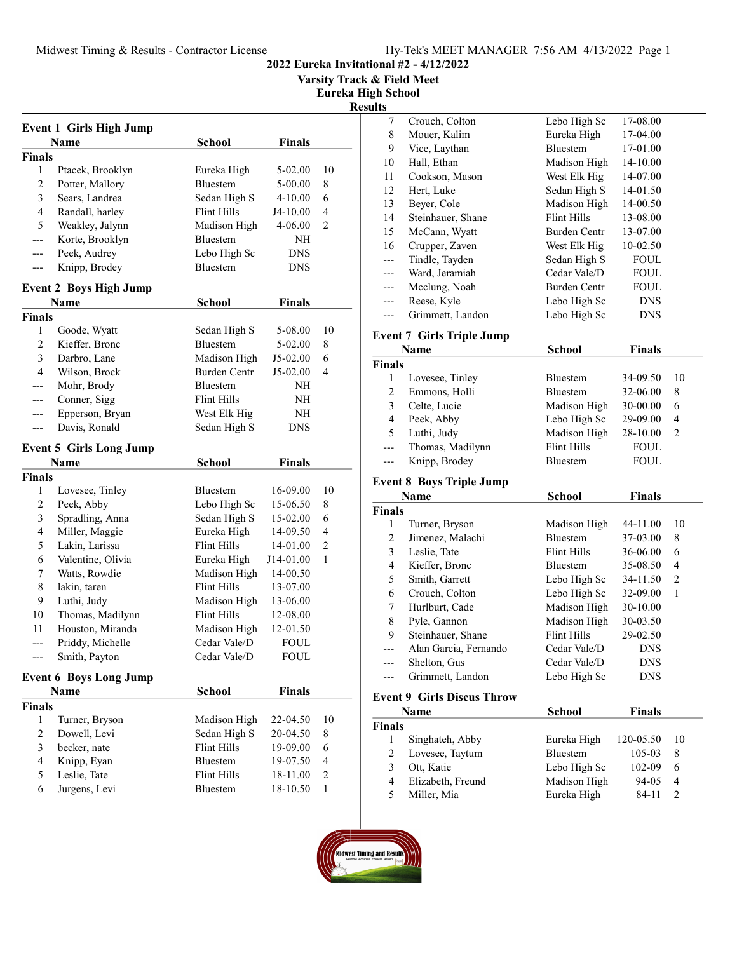Varsity Track & Field Meet

Eureka High School

## Result

| <b>Event 1 Girls High Jump</b> |                                |                    |               |                |
|--------------------------------|--------------------------------|--------------------|---------------|----------------|
|                                | Name                           | <b>School</b>      | <b>Finals</b> |                |
| Finals                         |                                |                    |               |                |
| 1                              | Ptacek, Brooklyn               | Eureka High        | 5-02.00       | 10             |
| 2                              | Potter, Mallory                | Bluestem           | 5-00.00       | 8              |
| 3                              | Sears, Landrea                 | Sedan High S       | 4-10.00       | 6              |
| $\overline{4}$                 | Randall, harley                | Flint Hills        | J4-10.00      | 4              |
| 5                              | Weakley, Jalynn                | Madison High       | 4-06.00       | 2              |
| ---                            | Korte, Brooklyn                | Bluestem           | NH            |                |
|                                | Peek, Audrey                   | Lebo High Sc       | DNS           |                |
| ---                            | Knipp, Brodey                  | Bluestem           | <b>DNS</b>    |                |
|                                | <b>Event 2 Boys High Jump</b>  |                    |               |                |
|                                | Name                           | School             | Finals        |                |
| Finals                         |                                |                    |               |                |
| 1                              | Goode, Wyatt                   | Sedan High S       | 5-08.00       | 10             |
| 2                              | Kieffer, Bronc                 | Bluestem           | 5-02.00       | 8              |
| 3                              | Darbro, Lane                   | Madison High       | $J5-02.00$    | 6              |
| $\overline{4}$                 | Wilson, Brock                  | Burden Centr       | J5-02.00      | 4              |
|                                | Mohr, Brody                    | Bluestem           | NΗ            |                |
| ---                            | Conner, Sigg                   | Flint Hills        | NH            |                |
| ---                            | Epperson, Bryan                | West Elk Hig       | NH            |                |
| ---                            | Davis, Ronald                  | Sedan High S       | <b>DNS</b>    |                |
|                                |                                |                    |               |                |
|                                | <b>Event 5 Girls Long Jump</b> |                    |               |                |
|                                | Name                           | School             | <b>Finals</b> |                |
| <b>Finals</b>                  |                                |                    |               |                |
| 1                              | Lovesee, Tinley                | Bluestem           | 16-09.00      | 10             |
| $\overline{c}$                 | Peek, Abby                     | Lebo High Sc       | 15-06.50      | 8              |
| 3                              | Spradling, Anna                | Sedan High S       | 15-02.00      | 6              |
| 4                              | Miller, Maggie                 | Eureka High        | 14-09.50      | 4              |
| 5                              | Lakin, Larissa                 | Flint Hills        | 14-01.00      | 2              |
| 6                              | Valentine, Olivia              | Eureka High        | J14-01.00     | 1              |
| 7                              | Watts, Rowdie                  | Madison High       | 14-00.50      |                |
| 8                              | lakin, taren                   | <b>Flint Hills</b> | 13-07.00      |                |
| 9                              | Luthi, Judy                    | Madison High       | 13-06.00      |                |
| 10                             | Thomas, Madilynn               | <b>Flint Hills</b> | 12-08.00      |                |
| 11                             | Houston, Miranda               | Madison High       | 12-01.50      |                |
| ---                            | Priddy, Michelle               | Cedar Vale/D       | <b>FOUL</b>   |                |
| ---                            | Smith, Payton                  | Cedar Vale/D       | FOUL          |                |
|                                | <b>Event 6 Boys Long Jump</b>  |                    |               |                |
|                                | <b>Name</b>                    | <b>School</b>      | <b>Finals</b> |                |
| <b>Finals</b>                  |                                |                    |               |                |
| 1                              | Turner, Bryson                 | Madison High       | 22-04.50      | 10             |
| 2                              | Dowell, Levi                   | Sedan High S       | 20-04.50      | 8              |
| 3                              | becker, nate                   | <b>Flint Hills</b> | 19-09.00      | 6              |
| $\overline{4}$                 | Knipp, Eyan                    | Bluestem           | 19-07.50      | $\overline{4}$ |
| 5                              | Leslie, Tate                   | <b>Flint Hills</b> | 18-11.00      | $\overline{c}$ |
| 6                              | Jurgens, Levi                  | Bluestem           | 18-10.50      | 1              |
|                                |                                |                    |               |                |

| ults           |                                   |                                    |                      |                |
|----------------|-----------------------------------|------------------------------------|----------------------|----------------|
| 7              | Crouch, Colton                    | Lebo High Sc                       | 17-08.00             |                |
| 8              | Mouer, Kalim                      | Eureka High                        | 17-04.00             |                |
| 9              | Vice, Laythan                     | Bluestem                           | 17-01.00             |                |
| 10             | Hall, Ethan                       | Madison High                       | 14-10.00             |                |
| 11             | Cookson, Mason                    | West Elk Hig                       | 14-07.00             |                |
| 12             | Hert, Luke                        | Sedan High S                       | 14-01.50             |                |
| 13             | Beyer, Cole                       | Madison High                       | 14-00.50             |                |
| 14             | Steinhauer, Shane                 | <b>Flint Hills</b>                 | 13-08.00             |                |
| 15             | McCann, Wyatt                     | Burden Centr                       | 13-07.00             |                |
| 16             | Crupper, Zaven                    | West Elk Hig                       | 10-02.50             |                |
| ---            | Tindle, Tayden                    | Sedan High S                       | FOUL                 |                |
|                | Ward, Jeramiah                    | Cedar Vale/D                       | FOUL                 |                |
| ---            | Mcclung, Noah                     | Burden Centr                       | FOUL                 |                |
| ---            | Reese, Kyle                       | Lebo High Sc                       | <b>DNS</b>           |                |
| ---            | Grimmett, Landon                  | Lebo High Sc                       | DNS                  |                |
|                |                                   |                                    |                      |                |
|                | <b>Event 7 Girls Triple Jump</b>  |                                    |                      |                |
|                | Name                              | School                             | <b>Finals</b>        |                |
| <b>Finals</b>  |                                   |                                    |                      |                |
| 1              | Lovesee, Tinley                   | <b>Bluestem</b>                    | 34-09.50             | 10             |
| $\overline{c}$ | Emmons, Holli                     | Bluestem                           | 32-06.00             | 8              |
| 3              | Celte, Lucie                      | Madison High                       | 30-00.00             | 6              |
| 4              | Peek, Abby                        | Lebo High Sc                       | 29-09.00             | 4              |
| 5              | Luthi, Judy                       | Madison High                       | 28-10.00             | 2              |
| $---$          | Thomas, Madilynn                  | <b>Flint Hills</b>                 | FOUL                 |                |
| ---            | Knipp, Brodey                     | Bluestem                           | <b>FOUL</b>          |                |
|                | <b>Event 8 Boys Triple Jump</b>   |                                    |                      |                |
|                | Name                              | <b>School</b>                      | <b>Finals</b>        |                |
| <b>Finals</b>  |                                   |                                    |                      |                |
| 1              |                                   |                                    |                      | 10             |
| 2              | Turner, Bryson                    | Madison High<br>Bluestem           | 44-11.00             |                |
|                | Jimenez, Malachi                  | <b>Flint Hills</b>                 | 37-03.00<br>36-06.00 | 8<br>6         |
| 3<br>4         | Leslie, Tate                      | Bluestem                           |                      | 4              |
|                | Kieffer, Bronc                    | Lebo High Sc                       | 35-08.50<br>34-11.50 | $\mathfrak{2}$ |
| 5              | Smith, Garrett                    |                                    |                      |                |
| 6              | Crouch, Colton                    | Lebo High Sc                       | 32-09.00             | 1              |
| 7              | Hurlburt, Cade                    | Madison High                       | 30-10.00             |                |
| 8              | Pyle, Gannon                      | Madison High<br><b>Flint Hills</b> | 30-03.50             |                |
| 9              | Steinhauer, Shane                 |                                    | 29-02.50             |                |
|                | Alan Garcia, Fernando             | Cedar Vale/D                       | DNS                  |                |
|                | Shelton, Gus                      | Cedar Vale/D                       | DNS                  |                |
|                | Grimmett, Landon                  | Lebo High Sc                       | DNS                  |                |
|                | <b>Event 9 Girls Discus Throw</b> |                                    |                      |                |
|                | <b>Name</b>                       | <b>School</b>                      | <b>Finals</b>        |                |
| <b>Finals</b>  |                                   |                                    |                      |                |
| 1              | Singhateh, Abby                   | Eureka High                        | 120-05.50            | 10             |
| 2              | Lovesee, Taytum                   | Bluestem                           | 105-03               | 8              |
| 3              | Ott, Katie                        | Lebo High Sc                       | 102-09               | 6              |
| 4              | Elizabeth, Freund                 | Madison High                       | 94-05                | 4              |
|                |                                   |                                    |                      |                |
| 5              | Miller, Mia                       | Eureka High                        | $84 - 11$            | 2              |

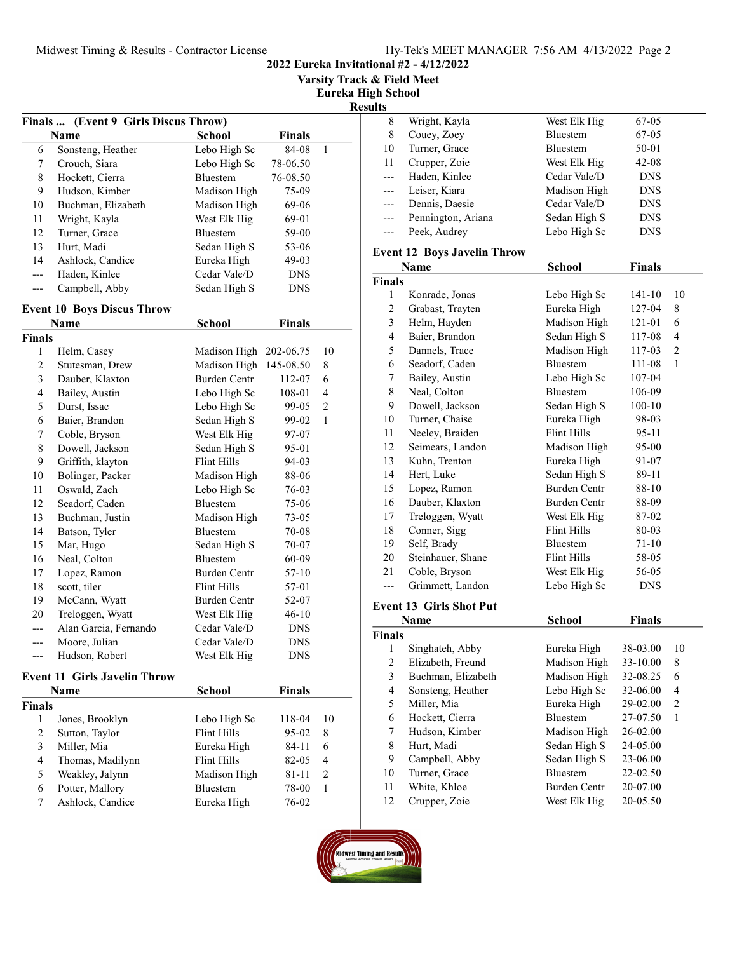2022 Eureka Invitational #2 - 4/12/2022

Varsity Track & Field Meet

Eureka High School

Results

|     | Finals  (Event 9 Girls Discus Throw) |                 |               |   |  |
|-----|--------------------------------------|-----------------|---------------|---|--|
|     | Name                                 | School          | <b>Finals</b> |   |  |
| 6   | Sonsteng, Heather                    | Lebo High Sc    | 84-08         | 1 |  |
| 7   | Crouch, Siara                        | Lebo High Sc    | 78-06.50      |   |  |
| 8   | Hockett, Cierra                      | <b>Bluestem</b> | 76-08.50      |   |  |
| 9   | Hudson, Kimber                       | Madison High    | 75-09         |   |  |
| 10  | Buchman, Elizabeth                   | Madison High    | 69-06         |   |  |
| 11  | Wright, Kayla                        | West Elk Hig    | 69-01         |   |  |
| 12  | Turner, Grace                        | <b>Bluestem</b> | 59-00         |   |  |
| 13  | Hurt, Madi                           | Sedan High S    | 53-06         |   |  |
| 14  | Ashlock, Candice                     | Eureka High     | $49-03$       |   |  |
| --- | Haden, Kinlee                        | Cedar Vale/D    | <b>DNS</b>    |   |  |
|     | Campbell, Abby                       | Sedan High S    | <b>DNS</b>    |   |  |

## Event 10 Boys Discus Throw

|                | Name                  | School                 | <b>Finals</b> |    |
|----------------|-----------------------|------------------------|---------------|----|
| Finals         |                       |                        |               |    |
| $\mathbf{1}$   | Helm, Casey           | Madison High 202-06.75 |               | 10 |
| $\overline{c}$ | Stutesman, Drew       | Madison High 145-08.50 |               | 8  |
| 3              | Dauber, Klaxton       | <b>Burden Centr</b>    | 112-07        | 6  |
| 4              | Bailey, Austin        | Lebo High Sc           | 108-01        | 4  |
| 5              | Durst, Issac          | Lebo High Sc           | 99-05         | 2  |
| 6              | Baier, Brandon        | Sedan High S           | 99-02         | 1  |
| 7              | Coble, Bryson         | West Elk Hig           | 97-07         |    |
| 8              | Dowell, Jackson       | Sedan High S           | 95-01         |    |
| 9              | Griffith, klayton     | Flint Hills            | 94-03         |    |
| 10             | Bolinger, Packer      | Madison High           | 88-06         |    |
| 11             | Oswald, Zach          | Lebo High Sc           | 76-03         |    |
| 12             | Seadorf, Caden        | <b>Bluestem</b>        | 75-06         |    |
| 13             | Buchman, Justin       | Madison High           | $73-05$       |    |
| 14             | Batson, Tyler         | <b>Bluestem</b>        | 70-08         |    |
| 15             | Mar, Hugo             | Sedan High S           | 70-07         |    |
| 16             | Neal, Colton          | <b>Bluestem</b>        | 60-09         |    |
| 17             | Lopez, Ramon          | <b>Burden Centr</b>    | 57-10         |    |
| 18             | scott, tiler          | Flint Hills            | 57-01         |    |
| 19             | McCann, Wyatt         | <b>Burden Centr</b>    | 52-07         |    |
| 20             | Treloggen, Wyatt      | West Elk Hig           | $46 - 10$     |    |
|                | Alan Garcia, Fernando | Cedar Vale/D           | <b>DNS</b>    |    |
|                | Moore, Julian         | Cedar Vale/D           | <b>DNS</b>    |    |
|                | Hudson, Robert        | West Elk Hig           | <b>DNS</b>    |    |
|                |                       |                        |               |    |

#### Event 11 Girls Javelin Throw

|               | <b>Name</b>      | <b>School</b>   | <b>Finals</b> |    |
|---------------|------------------|-----------------|---------------|----|
| <b>Finals</b> |                  |                 |               |    |
|               | Jones, Brooklyn  | Lebo High Sc    | 118-04        | 10 |
| 2             | Sutton, Taylor   | Flint Hills     | $95-02$       | 8  |
| 3             | Miller, Mia      | Eureka High     | $84 - 11$     | 6  |
| 4             | Thomas, Madilynn | Flint Hills     | 82-05         | 4  |
| 5             | Weakley, Jalynn  | Madison High    | 81-11         | 2  |
| 6             | Potter, Mallory  | <b>Bluestem</b> | 78-00         |    |
|               | Ashlock, Candice | Eureka High     | 76-02         |    |

| 8     | Wright, Kayla      | West Elk Hig    | 67-05      |
|-------|--------------------|-----------------|------------|
| 8     | Couey, Zoey        | Bluestem        | $67 - 05$  |
| 10    | Turner, Grace      | <b>Bluestem</b> | 50-01      |
| 11    | Crupper, Zoie      | West Elk Hig    | $42 - 08$  |
| $---$ | Haden, Kinlee      | Cedar Vale/D    | <b>DNS</b> |
| $---$ | Leiser, Kiara      | Madison High    | <b>DNS</b> |
| $---$ | Dennis, Daesie     | Cedar Vale/D    | <b>DNS</b> |
| $---$ | Pennington, Ariana | Sedan High S    | <b>DNS</b> |
| $---$ | Peek, Audrey       | Lebo High Sc    | <b>DNS</b> |
|       |                    |                 |            |

## Event 12 Boys Javelin Throw

|                         | Name                           | <b>School</b>       | <b>Finals</b> |                |
|-------------------------|--------------------------------|---------------------|---------------|----------------|
| <b>Finals</b>           |                                |                     |               |                |
| 1                       | Konrade, Jonas                 | Lebo High Sc        | 141-10        | 10             |
| $\overline{c}$          | Grabast, Trayten               | Eureka High         | 127-04        | 8              |
| 3                       | Helm, Hayden                   | Madison High        | 121-01        | 6              |
| $\overline{\mathbf{4}}$ | Baier, Brandon                 | Sedan High S        | 117-08        | $\overline{4}$ |
| 5                       | Dannels, Trace                 | Madison High        | 117-03        | 2              |
| 6                       | Seadorf, Caden                 | Bluestem            | 111-08        | 1              |
| 7                       | Bailey, Austin                 | Lebo High Sc        | 107-04        |                |
| $\,$ $\,$               | Neal, Colton                   | Bluestem            | 106-09        |                |
| 9                       | Dowell, Jackson                | Sedan High S        | $100 - 10$    |                |
| 10                      | Turner, Chaise                 | Eureka High         | 98-03         |                |
| 11                      | Neeley, Braiden                | <b>Flint Hills</b>  | 95-11         |                |
| 12                      | Seimears, Landon               | Madison High        | 95-00         |                |
| 13                      | Kuhn, Trenton                  | Eureka High         | 91-07         |                |
| 14                      | Hert, Luke                     | Sedan High S        | 89-11         |                |
| 15                      | Lopez, Ramon                   | <b>Burden Centr</b> | 88-10         |                |
| 16                      | Dauber, Klaxton                | <b>Burden Centr</b> | 88-09         |                |
| 17                      | Treloggen, Wyatt               | West Elk Hig        | 87-02         |                |
| 18                      | Conner, Sigg                   | <b>Flint Hills</b>  | 80-03         |                |
| 19                      | Self, Brady                    | Bluestem            | 71-10         |                |
| 20                      | Steinhauer, Shane              | Flint Hills         | 58-05         |                |
| 21                      | Coble, Bryson                  | West Elk Hig        | 56-05         |                |
| ---                     | Grimmett, Landon               | Lebo High Sc        | <b>DNS</b>    |                |
|                         | <b>Event 13 Girls Shot Put</b> |                     |               |                |
|                         | Name                           | <b>School</b>       | <b>Finals</b> |                |
| <b>Finals</b>           |                                |                     |               |                |
| 1                       | Singhateh, Abby                | Eureka High         | 38-03.00      | 10             |
| 2                       | Elizabeth, Freund              | Madison High        | 33-10.00      | 8              |
| 3                       | Buchman, Elizabeth             | Madison High        | 32-08.25      | 6              |
| 4                       | Sonsteng, Heather              | Lebo High Sc        | 32-06.00      | $\overline{4}$ |
| 5                       | Miller, Mia                    | Eureka High         | 29-02.00      | 2              |
| 6                       | Hockett, Cierra                | Bluestem            | 27-07.50      | $\mathbf{1}$   |
| 7                       | Hudson, Kimber                 | Madison High        | 26-02.00      |                |
| 8                       | Hurt, Madi                     | Sedan High S        | 24-05.00      |                |
| 9                       | Campbell, Abby                 | Sedan High S        | 23-06.00      |                |
| 10                      | Turner, Grace                  | Bluestem            | 22-02.50      |                |

11 White, Khloe Burden Centr 20-07.00 12 Crupper, Zoie West Elk Hig 20-05.50

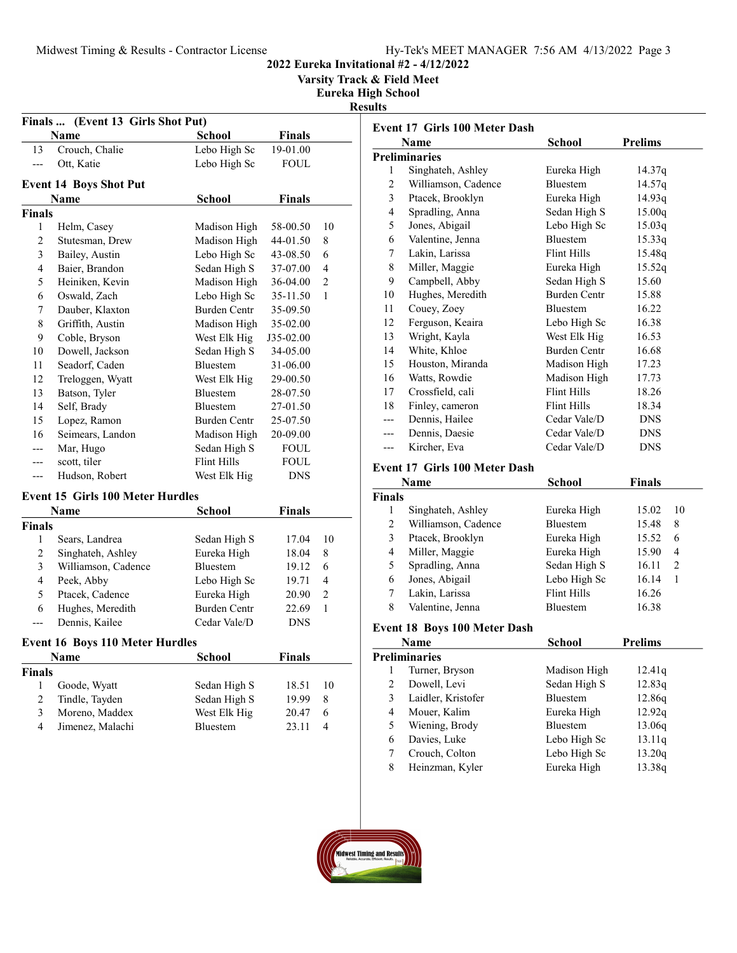Varsity Track & Field Meet

Eureka High School

Results

|               | Finals  (Event 13 Girls Shot Put) |                     |               |                |
|---------------|-----------------------------------|---------------------|---------------|----------------|
|               | Name                              | School              | <b>Finals</b> |                |
| 13            | Crouch, Chalie                    | Lebo High Sc        | 19-01.00      |                |
| ---           | Ott, Katie                        | Lebo High Sc        | FOUL          |                |
|               | <b>Event 14 Boys Shot Put</b>     |                     |               |                |
|               | Name                              | School              | Finals        |                |
| <b>Finals</b> |                                   |                     |               |                |
| 1             | Helm, Casey                       | Madison High        | 58-00.50      | 10             |
| 2             | Stutesman, Drew                   | Madison High        | 44-01.50      | 8              |
| 3             | Bailey, Austin                    | Lebo High Sc        | 43-08.50      | 6              |
| 4             | Baier, Brandon                    | Sedan High S        | 37-07.00      | 4              |
| 5             | Heiniken, Kevin                   | Madison High        | 36-04.00      | $\overline{2}$ |
| 6             | Oswald, Zach                      | Lebo High Sc        | 35-11.50      | 1              |
| 7             | Dauber, Klaxton                   | <b>Burden Centr</b> | 35-09.50      |                |
| 8             | Griffith, Austin                  | Madison High        | 35-02.00      |                |
| 9             | Coble, Bryson                     | West Elk Hig        | J35-02.00     |                |
| 10            | Dowell, Jackson                   | Sedan High S        | 34-05.00      |                |
| 11            | Seadorf, Caden                    | <b>Bluestem</b>     | 31-06.00      |                |
| 12            | Treloggen, Wyatt                  | West Elk Hig        | 29-00.50      |                |
| 13            | Batson, Tyler                     | <b>Bluestem</b>     | 28-07.50      |                |
| 14            | Self, Brady                       | Bluestem            | 27-01.50      |                |
| 15            | Lopez, Ramon                      | <b>Burden Centr</b> | 25-07.50      |                |
| 16            | Seimears, Landon                  | Madison High        | 20-09.00      |                |
|               | Mar, Hugo                         | Sedan High S        | <b>FOUL</b>   |                |
|               | scott, tiler                      | Flint Hills         | FOUL          |                |
| ---           | Hudson, Robert                    | West Elk Hig        | <b>DNS</b>    |                |
|               |                                   |                     |               |                |

# Event 15 Girls 100 Meter Hurdles

|               | Name                | School              | <b>Finals</b> |               |
|---------------|---------------------|---------------------|---------------|---------------|
| <b>Finals</b> |                     |                     |               |               |
|               | Sears, Landrea      | Sedan High S        | 17.04         | 10            |
| 2             | Singhateh, Ashley   | Eureka High         | 18.04         | 8             |
| 3             | Williamson, Cadence | <b>Bluestem</b>     | 19.12         | 6             |
| 4             | Peek, Abby          | Lebo High Sc        | 19.71         | 4             |
| 5             | Ptacek, Cadence     | Eureka High         | 20.90         | $\mathcal{L}$ |
| 6             | Hughes, Meredith    | <b>Burden Centr</b> | 22.69         |               |
|               | Dennis, Kailee      | Cedar Vale/D        | DNS           |               |

## Event 16 Boys 110 Meter Hurdles

|               | <b>Name</b>      | <b>School</b>   | Finals |    |
|---------------|------------------|-----------------|--------|----|
| <b>Finals</b> |                  |                 |        |    |
|               | Goode, Wyatt     | Sedan High S    | 18.51  | 10 |
| 2             | Tindle, Tayden   | Sedan High S    | 19.99  | 8  |
| 3             | Moreno, Maddex   | West Elk Hig    | 20.47  | 6  |
| 4             | Jimenez, Malachi | <b>Bluestem</b> | 23.11  |    |

|                | Name                 | School              | <b>Prelims</b> |
|----------------|----------------------|---------------------|----------------|
|                | <b>Preliminaries</b> |                     |                |
| 1              | Singhateh, Ashley    | Eureka High         | 14.37q         |
| 2              | Williamson, Cadence  | <b>Bluestem</b>     | 14.57q         |
| 3              | Ptacek, Brooklyn     | Eureka High         | 14.93q         |
| $\overline{4}$ | Spradling, Anna      | Sedan High S        | 15.00q         |
| 5              | Jones, Abigail       | Lebo High Sc        | 15.03q         |
| 6              | Valentine, Jenna     | <b>Bluestem</b>     | 15.33q         |
| 7              | Lakin, Larissa       | Flint Hills         | 15.48q         |
| 8              | Miller, Maggie       | Eureka High         | 15.52q         |
| 9              | Campbell, Abby       | Sedan High S        | 15.60          |
| 10             | Hughes, Meredith     | <b>Burden Centr</b> | 15.88          |
| 11             | Couey, Zoey          | <b>Bluestem</b>     | 16.22          |
| 12             | Ferguson, Keaira     | Lebo High Sc        | 16.38          |
| 13             | Wright, Kayla        | West Elk Hig        | 16.53          |
| 14             | White, Khloe         | Burden Centr        | 16.68          |
| 15             | Houston, Miranda     | Madison High        | 17.23          |
| 16             | Watts, Rowdie        | Madison High        | 17.73          |
| 17             | Crossfield, cali     | Flint Hills         | 18.26          |
| 18             | Finley, cameron      | Flint Hills         | 18.34          |
| ---            | Dennis, Hailee       | Cedar Vale/D        | <b>DNS</b>     |
| ---            | Dennis, Daesie       | Cedar Vale/D        | <b>DNS</b>     |
| $---$          | Kircher, Eva         | Cedar Vale/D        | DNS            |

#### Event 17 Girls 100 Meter Dash

|               | Name                | School          | Finals |     |
|---------------|---------------------|-----------------|--------|-----|
| <b>Finals</b> |                     |                 |        |     |
|               | Singhateh, Ashley   | Eureka High     | 15.02  | -10 |
| 2             | Williamson, Cadence | <b>Bluestem</b> | 15.48  | 8   |
| 3             | Ptacek, Brooklyn    | Eureka High     | 15.52  | 6   |
| 4             | Miller, Maggie      | Eureka High     | 15.90  | 4   |
| 5             | Spradling, Anna     | Sedan High S    | 16.11  | 2   |
| 6             | Jones, Abigail      | Lebo High Sc    | 16.14  |     |
| 7             | Lakin, Larissa      | Flint Hills     | 16.26  |     |
| 8             | Valentine, Jenna    | <b>Bluestem</b> | 16.38  |     |

## Event 18 Boys 100 Meter Dash

|   | Name                 | <b>School</b> | <b>Prelims</b> |
|---|----------------------|---------------|----------------|
|   | <b>Preliminaries</b> |               |                |
|   | Turner, Bryson       | Madison High  | 12.41g         |
| 2 | Dowell, Levi         | Sedan High S  | 12.83q         |
| 3 | Laidler, Kristofer   | Bluestem      | 12.86q         |
| 4 | Mouer, Kalim         | Eureka High   | 12.92q         |
| 5 | Wiening, Brody       | Bluestem      | 13.06g         |
| 6 | Davies, Luke         | Lebo High Sc  | 13.11q         |
|   | Crouch, Colton       | Lebo High Sc  | 13.20q         |
| 8 | Heinzman, Kyler      | Eureka High   | 13.38g         |

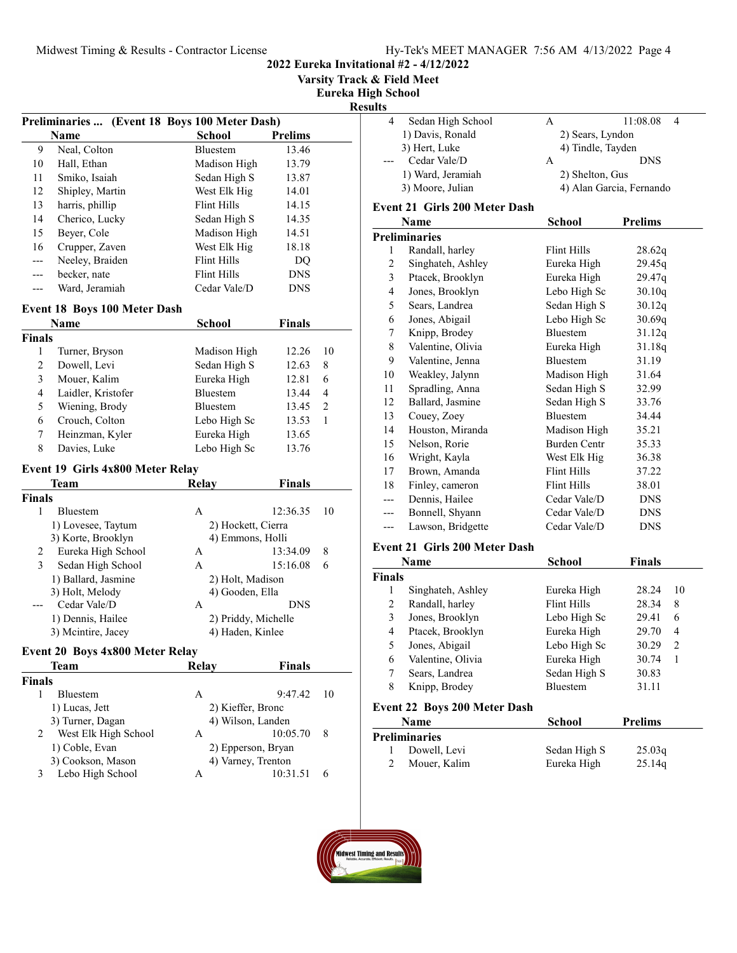2022 Eureka Invitational #2 - 4/12/2022

Varsity Track & Field Meet

Eureka High School

## Results

| Preliminaries<br>(Event 18 Boys 100 Meter Dash) |                 |                 |                |
|-------------------------------------------------|-----------------|-----------------|----------------|
|                                                 | Name            | School          | <b>Prelims</b> |
| 9                                               | Neal, Colton    | <b>Bluestem</b> | 13.46          |
| 10                                              | Hall, Ethan     | Madison High    | 13.79          |
| 11                                              | Smiko, Isaiah   | Sedan High S    | 13.87          |
| 12                                              | Shipley, Martin | West Elk Hig    | 14.01          |
| 13                                              | harris, phillip | Flint Hills     | 14.15          |
| 14                                              | Cherico, Lucky  | Sedan High S    | 14.35          |
| 15                                              | Beyer, Cole     | Madison High    | 14.51          |
| 16                                              | Crupper, Zaven  | West Elk Hig    | 18.18          |
| ---                                             | Neeley, Braiden | Flint Hills     | DO             |
| ---                                             | becker, nate    | Flint Hills     | <b>DNS</b>     |
|                                                 | Ward, Jeramiah  | Cedar Vale/D    | <b>DNS</b>     |

## Event 18 Boys 100 Meter Dash

|        | <b>Name</b>        | <b>School</b>   | <b>Finals</b> |               |
|--------|--------------------|-----------------|---------------|---------------|
| Finals |                    |                 |               |               |
|        | Turner, Bryson     | Madison High    | 12.26         | 10            |
| 2      | Dowell, Levi       | Sedan High S    | 12.63         | 8             |
| 3      | Mouer, Kalim       | Eureka High     | 12.81         | 6             |
| 4      | Laidler, Kristofer | Bluestem        | 13.44         | 4             |
| 5      | Wiening, Brody     | <b>Bluestem</b> | 13.45         | $\mathcal{L}$ |
| 6      | Crouch, Colton     | Lebo High Sc    | 13.53         |               |
|        | Heinzman, Kyler    | Eureka High     | 13.65         |               |
| 8      | Davies, Luke       | Lebo High Sc    | 13.76         |               |

## Event 19 Girls 4x800 Meter Relay

|               | Team                | Relay            | <b>Finals</b>       |    |
|---------------|---------------------|------------------|---------------------|----|
| <b>Finals</b> |                     |                  |                     |    |
|               | <b>Bluestem</b>     | Α                | 12:36.35            | 10 |
|               | 1) Lovesee, Taytum  |                  | 2) Hockett, Cierra  |    |
|               | 3) Korte, Brooklyn  |                  | 4) Emmons, Holli    |    |
| 2             | Eureka High School  | А                | 13:34.09            | 8  |
| 3             | Sedan High School   | A                | 15:16.08            | 6  |
|               | 1) Ballard, Jasmine | 2) Holt, Madison |                     |    |
|               | 3) Holt, Melody     | 4) Gooden, Ella  |                     |    |
|               | Cedar Vale/D        | A                | <b>DNS</b>          |    |
|               | 1) Dennis, Hailee   |                  | 2) Priddy, Michelle |    |
|               | 3) Mcintire, Jacey  | 4) Haden, Kinlee |                     |    |

#### Event 20 Boys 4x800 Meter Relay

| Team                      | Relay | <b>Finals</b>      |     |
|---------------------------|-------|--------------------|-----|
| <b>Finals</b>             |       |                    |     |
| <b>Bluestem</b>           | Α     | 9:47.42            | -10 |
| 1) Lucas, Jett            |       | 2) Kieffer, Bronc  |     |
| 3) Turner, Dagan          |       | 4) Wilson, Landen  |     |
| West Elk High School<br>2 | А     | 10:05.70           | 8   |
| 1) Coble, Evan            |       | 2) Epperson, Bryan |     |
| 3) Cookson, Mason         |       | 4) Varney, Trenton |     |
| Lebo High School          | А     | 10:31.51           |     |

| $\overline{4}$ | Sedan High School                    | A                        | 11:08.08<br>$\overline{4}$ |
|----------------|--------------------------------------|--------------------------|----------------------------|
|                | 1) Davis, Ronald                     | 2) Sears, Lyndon         |                            |
|                | 3) Hert, Luke                        | 4) Tindle, Tayden        |                            |
|                | Cedar Vale/D                         | A                        | <b>DNS</b>                 |
|                | 1) Ward, Jeramiah                    | 2) Shelton, Gus          |                            |
|                | 3) Moore, Julian                     | 4) Alan Garcia, Fernando |                            |
|                | <b>Event 21 Girls 200 Meter Dash</b> |                          |                            |
|                | Name                                 | School                   | <b>Prelims</b>             |
|                | <b>Preliminaries</b>                 |                          |                            |
| 1              | Randall, harley                      | <b>Flint Hills</b>       | 28.62q                     |
| $\overline{c}$ | Singhateh, Ashley                    | Eureka High              | 29.45q                     |
| 3              | Ptacek, Brooklyn                     | Eureka High              | 29.47 <sub>g</sub>         |
| 4              | Jones, Brooklyn                      | Lebo High Sc             | 30.10q                     |
| 5              | Sears, Landrea                       | Sedan High S             | 30.12q                     |
| 6              | Jones, Abigail                       | Lebo High Sc             | 30.69q                     |
| 7              | Knipp, Brodey                        | <b>Bluestem</b>          | 31.12q                     |
| 8              | Valentine, Olivia                    | Eureka High              | 31.18q                     |
| 9              | Valentine, Jenna                     | <b>Bluestem</b>          | 31.19                      |
| 10             | Weakley, Jalynn                      | Madison High             | 31.64                      |
| 11             | Spradling, Anna                      | Sedan High S             | 32.99                      |
| 12             | Ballard, Jasmine                     | Sedan High S             | 33.76                      |
| 13             | Couey, Zoey                          | <b>Bluestem</b>          | 34.44                      |
| 14             | Houston, Miranda                     | Madison High             | 35.21                      |
| 15             | Nelson, Rorie                        | <b>Burden Centr</b>      | 35.33                      |
| 16             | Wright, Kayla                        | West Elk Hig             | 36.38                      |
| 17             | Brown, Amanda                        | Flint Hills              | 37.22                      |
| 18             | Finley, cameron                      | Flint Hills              | 38.01                      |
|                | Dennis, Hailee                       | Cedar Vale/D             | <b>DNS</b>                 |
| ---            | Bonnell, Shyann                      | Cedar Vale/D             | <b>DNS</b>                 |
| ---            | Lawson, Bridgette                    | Cedar Vale/D             | <b>DNS</b>                 |
|                | <b>Event 21 Girls 200 Meter Dash</b> |                          |                            |

## Name School Finals Finals 1 28.24 10 Singhateh, Ashley Eureka High 2 Randall, harley Flint Hills 28.34 8<br>3 Jones, Brooklyn Lebo High Sc 29.41 6 3 29.41 6 Jones, Brooklyn Lebo High Sc 4 29.70 4 Ptacek, Brooklyn Eureka High 5 Jones, Abigail Lebo High Sc 30.29 2<br>6 Valentine, Olivia Eureka High 30.74 1 6 30.74 1 Valentine, Olivia Eureka High 7 Sears, Landrea Sedan High S 30.83 8 Knipp, Brodey Bluestem 31.11

#### Event 22 Boys 200 Meter Dash

| <b>Name</b>   | School       | <b>Prelims</b> |  |
|---------------|--------------|----------------|--|
| Preliminaries |              |                |  |
| Dowell, Levi  | Sedan High S | 25.03q         |  |
| Mouer, Kalim  | Eureka High  | 25.14q         |  |

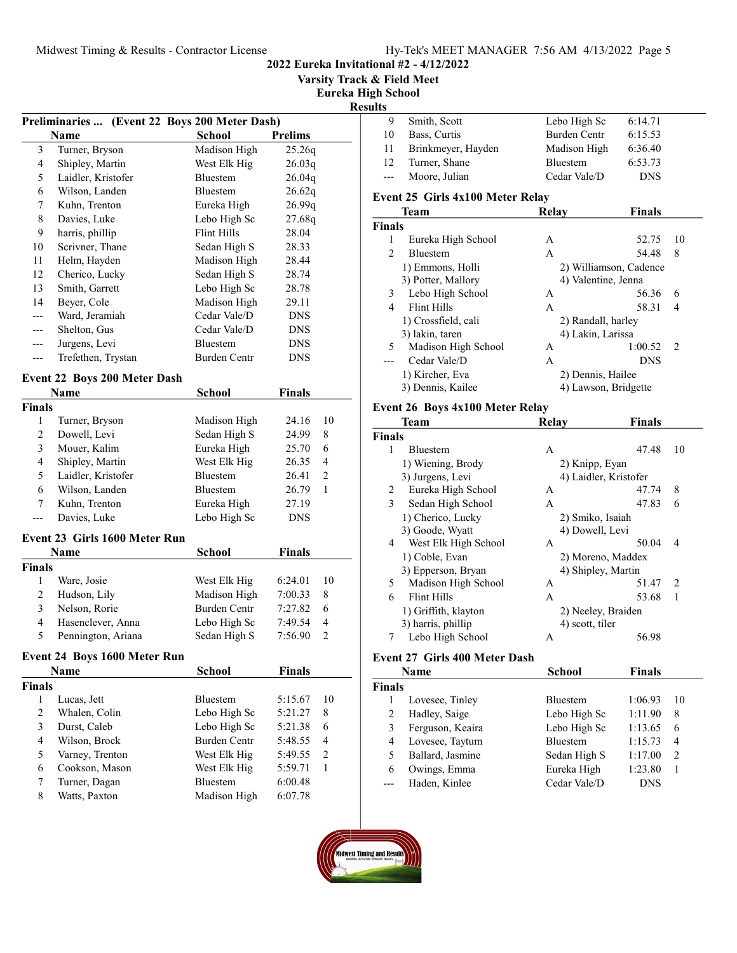2022 Eureka Invitational #2 - 4/12/2022

Varsity Track & Field Meet

Eureka High School

# Results

|                         | <b>Preliminaries </b>               | (Event 22 Boys 200 Meter Dash) |                    |                |
|-------------------------|-------------------------------------|--------------------------------|--------------------|----------------|
|                         | Name                                | <b>School</b>                  | <b>Prelims</b>     |                |
| 3                       | Turner, Bryson                      | Madison High                   | 25.26q             |                |
| $\overline{\mathbf{4}}$ | Shipley, Martin                     | West Elk Hig                   | 26.03q             |                |
| 5                       | Laidler, Kristofer                  | Bluestem                       | 26.04q             |                |
| 6                       | Wilson, Landen                      | Bluestem                       | 26.62q             |                |
| 7                       | Kuhn, Trenton                       | Eureka High                    | 26.99q             |                |
| 8                       | Davies, Luke                        | Lebo High Sc                   | 27.68q             |                |
| 9                       | harris, phillip                     | <b>Flint Hills</b>             | 28.04              |                |
| 10                      | Scrivner, Thane                     | Sedan High S                   | 28.33              |                |
| 11                      | Helm, Hayden                        | Madison High                   | 28.44              |                |
| 12                      | Cherico, Lucky                      | Sedan High S                   | 28.74              |                |
| 13                      | Smith, Garrett                      | Lebo High Sc                   | 28.78              |                |
| 14                      | Beyer, Cole                         | Madison High                   | 29.11              |                |
|                         | Ward, Jeramiah                      | Cedar Vale/D                   | <b>DNS</b>         |                |
| ---                     | Shelton, Gus                        | Cedar Vale/D                   | <b>DNS</b>         |                |
|                         | Jurgens, Levi                       | Bluestem                       | <b>DNS</b>         |                |
| ---                     | Trefethen, Trystan                  | Burden Centr                   | <b>DNS</b>         |                |
|                         |                                     |                                |                    |                |
|                         | <b>Event 22 Boys 200 Meter Dash</b> |                                |                    |                |
|                         | Name                                | <b>School</b>                  | <b>Finals</b>      |                |
| Finals                  |                                     |                                |                    |                |
| 1                       | Turner, Bryson                      | Madison High                   | 24.16              | 10             |
| $\mathfrak{2}$          | Dowell, Levi                        | Sedan High S                   | 24.99              | 8              |
| $\mathfrak{Z}$          | Mouer, Kalim                        | Eureka High                    | 25.70              | 6              |
| $\overline{4}$          | Shipley, Martin                     | West Elk Hig                   | 26.35              | 4              |
| 5                       | Laidler, Kristofer                  | Bluestem                       | 26.41              | 2              |
| 6                       | Wilson, Landen                      | Bluestem                       | 26.79              | 1              |
| 7                       | Kuhn, Trenton                       | Eureka High                    | 27.19              |                |
| ---                     | Davies, Luke                        | Lebo High Sc                   | <b>DNS</b>         |                |
|                         | Event 23 Girls 1600 Meter Run       |                                |                    |                |
|                         | Name                                | School                         | <b>Finals</b>      |                |
| <b>Finals</b>           |                                     |                                |                    |                |
| 1                       | Ware, Josie                         | West Elk Hig                   | 6:24.01            | 10             |
| $\overline{c}$          | Hudson, Lily                        | Madison High                   | 7:00.33            | 8              |
| 3                       | Nelson, Rorie                       | Burden Centr                   | 7:27.82            | 6              |
| 4                       | Hasenclever, Anna                   |                                |                    | 4              |
| 5                       |                                     | Lebo High Sc                   | 7:49.54<br>7:56.90 | $\overline{2}$ |
|                         | Pennington, Ariana                  | Sedan High S                   |                    |                |
|                         | <b>Event 24 Boys 1600 Meter Run</b> |                                |                    |                |
|                         | <b>Name</b>                         | School                         | <b>Finals</b>      |                |
| Finals                  |                                     |                                |                    |                |
| $\mathbf{1}$            | Lucas, Jett                         | Bluestem                       | 5:15.67            | 10             |
| $\overline{c}$          | Whalen, Colin                       | Lebo High Sc                   | 5:21.27            | 8              |
| $\mathfrak{Z}$          | Durst, Caleb                        | Lebo High Sc                   | 5:21.38            | 6              |
| $\overline{\mathbf{4}}$ | Wilson, Brock                       | <b>Burden Centr</b>            | 5:48.55            | 4              |
| 5                       | Varney, Trenton                     | West Elk Hig                   | 5:49.55            | 2              |
| 6                       | Cookson, Mason                      | West Elk Hig                   | 5:59.71            | 1              |
| 7                       | Turner, Dagan                       | Bluestem                       | 6:00.48            |                |
| $\,$ $\,$               | Watts, Paxton                       | Madison High                   | 6:07.78            |                |

| ults                     |                                  |                      |                        |               |
|--------------------------|----------------------------------|----------------------|------------------------|---------------|
| 9                        | Smith, Scott                     | Lebo High Sc         | 6:14.71                |               |
| 10                       | Bass, Curtis                     | Burden Centr         | 6:15.53                |               |
| 11                       | Brinkmeyer, Hayden               | Madison High         | 6:36.40                |               |
| 12                       | Turner, Shane                    | <b>Bluestem</b>      | 6:53.73                |               |
|                          | Moore, Julian                    | Cedar Vale/D         | <b>DNS</b>             |               |
|                          | Event 25 Girls 4x100 Meter Relay |                      |                        |               |
|                          | Team                             | <b>Relay</b>         | <b>Finals</b>          |               |
| <b>Finals</b>            |                                  |                      |                        |               |
| 1                        | Eureka High School               | A                    | 52.75                  | 10            |
| $\mathfrak{D}$           | <b>Bluestem</b>                  | $\mathsf{A}$         | 54.48                  | 8             |
|                          | 1) Emmons, Holli                 |                      | 2) Williamson, Cadence |               |
|                          | 3) Potter, Mallory               | 4) Valentine, Jenna  |                        |               |
| 3                        | Lebo High School                 | A                    | 56.36                  | 6             |
| $\overline{\mathcal{L}}$ | <b>Flint Hills</b>               | $\mathsf{A}$         | 58.31                  | 4             |
|                          | 1) Crossfield, cali              | 2) Randall, harley   |                        |               |
|                          | 3) lakin, taren                  | 4) Lakin, Larissa    |                        |               |
| 5.                       | Madison High School              | A                    | 1:00.52                | $\mathcal{L}$ |
| ---                      | Cedar Vale/D                     | $\mathsf{A}$         | <b>DNS</b>             |               |
|                          | 1) Kircher, Eva                  | 2) Dennis, Hailee    |                        |               |
|                          | 3) Dennis, Kailee                | 4) Lawson, Bridgette |                        |               |
|                          |                                  |                      |                        |               |

## Event 26 Boys 4x100 Meter Relay

|               | Team                 | Relay              | <b>Finals</b>         |
|---------------|----------------------|--------------------|-----------------------|
| <b>Finals</b> |                      |                    |                       |
| 1             | <b>Bluestem</b>      | А                  | 47.48<br>10           |
|               | 1) Wiening, Brody    | 2) Knipp, Eyan     |                       |
|               | 3) Jurgens, Levi     |                    | 4) Laidler, Kristofer |
| 2             | Eureka High School   | А                  | 8<br>47.74            |
| 3             | Sedan High School    | A                  | 47.83<br>6            |
|               | 1) Cherico, Lucky    | 2) Smiko, Isaiah   |                       |
|               | 3) Goode, Wyatt      | 4) Dowell, Levi    |                       |
| 4             | West Elk High School | A                  | 50.04<br>4            |
|               | 1) Coble, Evan       |                    | 2) Moreno, Maddex     |
|               | 3) Epperson, Bryan   | 4) Shipley, Martin |                       |
| 5             | Madison High School  | А                  | 51.47<br>2            |
| 6             | Flint Hills          | A                  | 53.68<br>1            |
|               | 1) Griffith, klayton |                    | 2) Neeley, Braiden    |
|               | 3) harris, phillip   | 4) scott, tiler    |                       |
| 7             | Lebo High School     | А                  | 56.98                 |

# Event 27 Girls 400 Meter Dash

|        | Name             | <b>School</b>   | <b>Finals</b> |                                                                                                                                                                                                                                                                                                                                                                                                             |
|--------|------------------|-----------------|---------------|-------------------------------------------------------------------------------------------------------------------------------------------------------------------------------------------------------------------------------------------------------------------------------------------------------------------------------------------------------------------------------------------------------------|
| Finals |                  |                 |               |                                                                                                                                                                                                                                                                                                                                                                                                             |
|        | Lovesee, Tinley  | <b>Bluestem</b> | 1:06.93       | 10                                                                                                                                                                                                                                                                                                                                                                                                          |
|        | Hadley, Saige    | Lebo High Sc    | 1:11.90       | 8                                                                                                                                                                                                                                                                                                                                                                                                           |
|        | Ferguson, Keaira | Lebo High Sc    | 1:13.65       | 6                                                                                                                                                                                                                                                                                                                                                                                                           |
| 4      | Lovesee, Taytum  | <b>Bluestem</b> | 1:15.73       | 4                                                                                                                                                                                                                                                                                                                                                                                                           |
|        | Ballard, Jasmine | Sedan High S    | 1:17.00       | $\mathfrak{D}_{1}^{(1)} = \mathfrak{D}_{2}^{(1)} = \mathfrak{D}_{2}^{(1)} = \mathfrak{D}_{2}^{(1)} = \mathfrak{D}_{2}^{(1)} = \mathfrak{D}_{2}^{(1)} = \mathfrak{D}_{2}^{(1)} = \mathfrak{D}_{2}^{(1)} = \mathfrak{D}_{2}^{(1)} = \mathfrak{D}_{2}^{(1)} = \mathfrak{D}_{2}^{(1)} = \mathfrak{D}_{2}^{(1)} = \mathfrak{D}_{2}^{(1)} = \mathfrak{D}_{2}^{(1)} = \mathfrak{D}_{2}^{(1)} = \mathfrak{D}_{2}^{$ |
| 6      | Owings, Emma     | Eureka High     | 1:23.80       |                                                                                                                                                                                                                                                                                                                                                                                                             |
|        | Haden, Kinlee    | Cedar Vale/D    | DNS           |                                                                                                                                                                                                                                                                                                                                                                                                             |

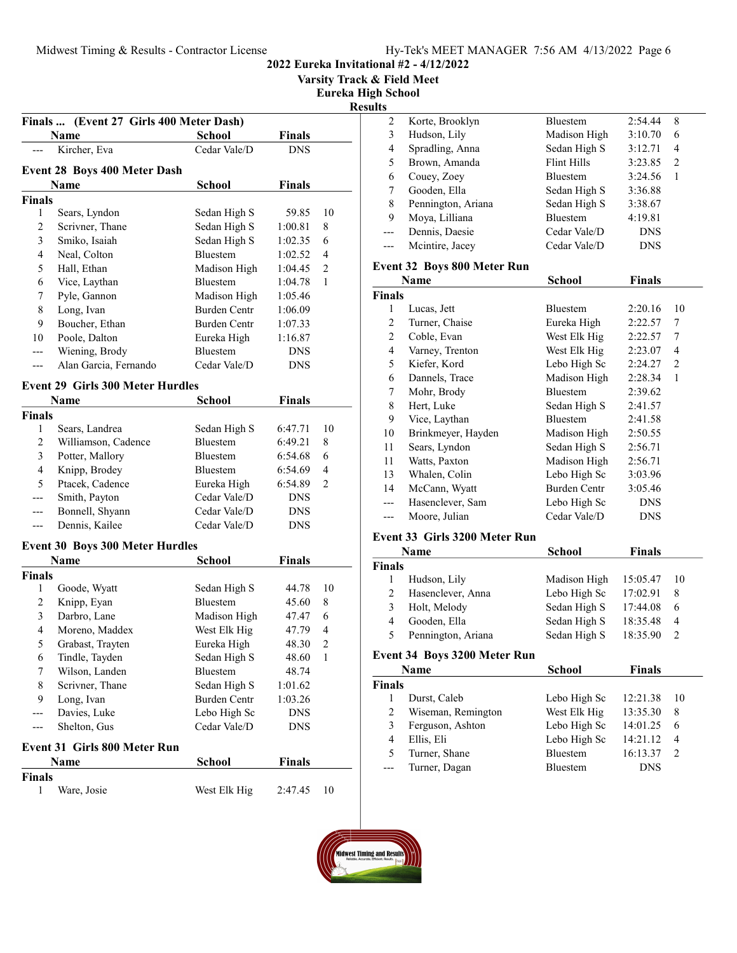Varsity Track & Field Meet

Eureka High School

Results

| Finals  (Event 27 Girls 400 Meter Dash)             |                                         |                     |                    |                |  |  |  |  |  |
|-----------------------------------------------------|-----------------------------------------|---------------------|--------------------|----------------|--|--|--|--|--|
|                                                     | Name                                    | School              | <b>Finals</b>      |                |  |  |  |  |  |
|                                                     | Kircher, Eva                            | Cedar Vale/D        | <b>DNS</b>         |                |  |  |  |  |  |
|                                                     |                                         |                     |                    |                |  |  |  |  |  |
| <b>Event 28 Boys 400 Meter Dash</b>                 |                                         |                     |                    |                |  |  |  |  |  |
| Name<br>School<br>Finals<br><b>Finals</b>           |                                         |                     |                    |                |  |  |  |  |  |
|                                                     |                                         |                     |                    |                |  |  |  |  |  |
| 1                                                   | Sears, Lyndon                           | Sedan High S        | 59.85              | 10             |  |  |  |  |  |
| 2                                                   | Scrivner, Thane                         | Sedan High S        | 1:00.81            | 8              |  |  |  |  |  |
| 3                                                   | Smiko, Isaiah                           | Sedan High S        | 1:02.35            | 6              |  |  |  |  |  |
| 4                                                   | Neal, Colton                            | Bluestem            | 1:02.52            | 4              |  |  |  |  |  |
| 5                                                   | Hall, Ethan                             | Madison High        | 1:04.45            | 2              |  |  |  |  |  |
| 6                                                   | Vice, Laythan                           | Bluestem            | 1:04.78<br>1:05.46 | 1              |  |  |  |  |  |
| 7                                                   | Pyle, Gannon                            | Madison High        |                    |                |  |  |  |  |  |
| 8                                                   | Long, Ivan                              | <b>Burden Centr</b> | 1:06.09            |                |  |  |  |  |  |
| 9                                                   | Boucher, Ethan                          | Burden Centr        | 1:07.33            |                |  |  |  |  |  |
| 10                                                  | Poole, Dalton                           | Eureka High         | 1:16.87            |                |  |  |  |  |  |
| ---                                                 | Wiening, Brody                          | Bluestem            | <b>DNS</b>         |                |  |  |  |  |  |
|                                                     | Alan Garcia, Fernando                   | Cedar Vale/D        | <b>DNS</b>         |                |  |  |  |  |  |
|                                                     | <b>Event 29 Girls 300 Meter Hurdles</b> |                     |                    |                |  |  |  |  |  |
|                                                     | Name                                    | <b>School</b>       | <b>Finals</b>      |                |  |  |  |  |  |
| <b>Finals</b>                                       |                                         |                     |                    |                |  |  |  |  |  |
| $\mathbf{1}$                                        | Sears, Landrea                          | Sedan High S        | 6:47.71            | 10             |  |  |  |  |  |
| 2                                                   | Williamson, Cadence                     | <b>Bluestem</b>     | 6:49.21            | 8              |  |  |  |  |  |
| 3                                                   | Potter, Mallory                         | Bluestem            | 6:54.68            | 6              |  |  |  |  |  |
| 4                                                   | Knipp, Brodey                           | Bluestem            | 6:54.69            | 4              |  |  |  |  |  |
| 5                                                   | Ptacek, Cadence                         | Eureka High         | 6:54.89            | 2              |  |  |  |  |  |
|                                                     |                                         | Cedar Vale/D        |                    |                |  |  |  |  |  |
| ---                                                 | Smith, Payton                           | Cedar Vale/D        | <b>DNS</b>         |                |  |  |  |  |  |
| ---                                                 | Bonnell, Shyann                         |                     | <b>DNS</b>         |                |  |  |  |  |  |
| Dennis, Kailee<br>Cedar Vale/D<br><b>DNS</b><br>--- |                                         |                     |                    |                |  |  |  |  |  |
|                                                     | <b>Event 30 Boys 300 Meter Hurdles</b>  |                     |                    |                |  |  |  |  |  |
|                                                     | Name                                    | School              | <b>Finals</b>      |                |  |  |  |  |  |
| <b>Finals</b>                                       |                                         |                     |                    |                |  |  |  |  |  |
| 1                                                   | Goode, Wyatt                            | Sedan High S        | 44.78              | 10             |  |  |  |  |  |
| 2                                                   | Knipp, Eyan                             | <b>Bluestem</b>     | 45.60              | 8              |  |  |  |  |  |
| 3                                                   | Darbro, Lane                            | Madison High        | 47.47              | 6              |  |  |  |  |  |
| 4                                                   | Moreno, Maddex                          | West Elk Hig        | 47.79              | 4              |  |  |  |  |  |
| 5                                                   | Grabast, Trayten                        | Eureka High         | 48.30              | $\overline{c}$ |  |  |  |  |  |
| 6                                                   | Tindle, Tayden                          | Sedan High S        | 48.60              | $\mathbf{1}$   |  |  |  |  |  |
| 7                                                   | Wilson, Landen                          | Bluestem            | 48.74              |                |  |  |  |  |  |
| 8                                                   | Scrivner, Thane                         | Sedan High S        | 1:01.62            |                |  |  |  |  |  |
| 9                                                   | Long, Ivan                              | <b>Burden Centr</b> | 1:03.26            |                |  |  |  |  |  |
|                                                     | Davies, Luke                            | Lebo High Sc        | <b>DNS</b>         |                |  |  |  |  |  |
| ---                                                 | Shelton, Gus                            | Cedar Vale/D        | <b>DNS</b>         |                |  |  |  |  |  |
|                                                     |                                         |                     |                    |                |  |  |  |  |  |
| <b>Event 31 Girls 800 Meter Run</b>                 |                                         |                     |                    |                |  |  |  |  |  |
|                                                     | Name                                    | <b>School</b>       | <b>Finals</b>      |                |  |  |  |  |  |
| <b>Finals</b>                                       |                                         |                     |                    |                |  |  |  |  |  |
| 1                                                   | Ware, Josie                             | West Elk Hig        | 2:47.45            | 10             |  |  |  |  |  |
|                                                     |                                         |                     |                    |                |  |  |  |  |  |

| s. |                    |                 |            |   |  |
|----|--------------------|-----------------|------------|---|--|
| 2  | Korte, Brooklyn    | <b>Bluestem</b> | 2:54.44    | 8 |  |
| 3  | Hudson, Lily       | Madison High    | 3:10.70    | 6 |  |
| 4  | Spradling, Anna    | Sedan High S    | 3:12.71    | 4 |  |
| 5  | Brown, Amanda      | Flint Hills     | 3:23.85    | 2 |  |
| 6  | Couey, Zoey        | <b>Bluestem</b> | 3:24.56    |   |  |
|    | Gooden, Ella       | Sedan High S    | 3:36.88    |   |  |
| 8  | Pennington, Ariana | Sedan High S    | 3:38.67    |   |  |
| 9  | Moya, Lilliana     | <b>Bluestem</b> | 4:19.81    |   |  |
|    | Dennis, Daesie     | Cedar Vale/D    | <b>DNS</b> |   |  |
|    | Mcintire, Jacey    | Cedar Vale/D    | <b>DNS</b> |   |  |
|    |                    |                 |            |   |  |

# Event 32 Boys 800 Meter Run

| Name           |                    | School          | Finals     |                |
|----------------|--------------------|-----------------|------------|----------------|
| <b>Finals</b>  |                    |                 |            |                |
| 1              | Lucas, Jett        | <b>Bluestem</b> | 2:20.16    | 10             |
| 2              | Turner, Chaise     | Eureka High     | 2:22.57    | 7              |
| $\overline{c}$ | Coble, Evan        | West Elk Hig    | 2:22.57    | 7              |
| 4              | Varney, Trenton    | West Elk Hig    | 2:23.07    | 4              |
| 5              | Kiefer, Kord       | Lebo High Sc    | 2:24.27    | $\overline{2}$ |
| 6              | Dannels, Trace     | Madison High    | 2:28.34    | 1              |
| 7              | Mohr, Brody        | <b>Bluestem</b> | 2:39.62    |                |
| 8              | Hert, Luke         | Sedan High S    | 2:41.57    |                |
| 9              | Vice, Laythan      | <b>Bluestem</b> | 2:41.58    |                |
| 10             | Brinkmeyer, Hayden | Madison High    | 2:50.55    |                |
| 11             | Sears, Lyndon      | Sedan High S    | 2:56.71    |                |
| 11             | Watts, Paxton      | Madison High    | 2:56.71    |                |
| 13             | Whalen, Colin      | Lebo High Sc    | 3:03.96    |                |
| 14             | McCann, Wyatt      | Burden Centr    | 3:05.46    |                |
|                | Hasenclever, Sam   | Lebo High Sc    | <b>DNS</b> |                |
|                | Moore, Julian      | Cedar Vale/D    | <b>DNS</b> |                |

# Event 33 Girls 3200 Meter Run

| <b>Name</b>   |                    | <b>School</b> | <b>Finals</b> |                |
|---------------|--------------------|---------------|---------------|----------------|
| <b>Finals</b> |                    |               |               |                |
|               | Hudson, Lily       | Madison High  | 15:05.47      | -10            |
| 2             | Hasenclever, Anna  | Lebo High Sc  | 17:02.91      | 8              |
| 3             | Holt, Melody       | Sedan High S  | 17:44.08      | 6              |
| 4             | Gooden, Ella       | Sedan High S  | 18:35.48      | $\overline{4}$ |
| 5             | Pennington, Ariana | Sedan High S  | 18:35.90      |                |

# Event 34 Boys 3200 Meter Run

| Name          |                    | <b>School</b>   | <b>Finals</b> |    |
|---------------|--------------------|-----------------|---------------|----|
| <b>Finals</b> |                    |                 |               |    |
|               | Durst, Caleb       | Lebo High Sc    | 12:21.38      | 10 |
| 2             | Wiseman, Remington | West Elk Hig    | 13:35.30      | 8  |
| 3             | Ferguson, Ashton   | Lebo High Sc    | 14:01.25      | 6  |
| 4             | Ellis, Eli         | Lebo High Sc    | 14:21.12      | 4  |
| 5             | Turner, Shane      | <b>Bluestem</b> | 16:13.37      |    |
| ---           | Turner, Dagan      | <b>Bluestem</b> | <b>DNS</b>    |    |